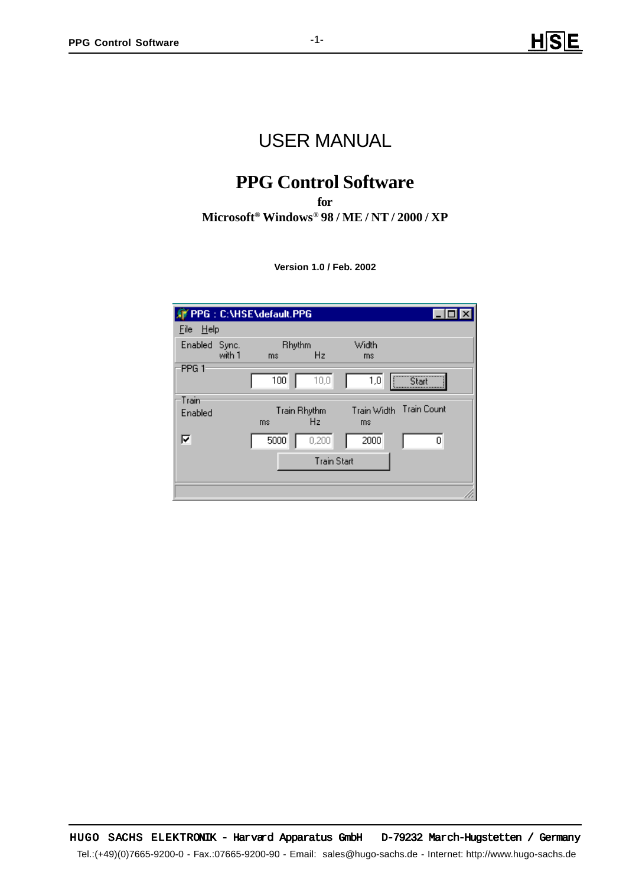# USER MANUAL

# **PPG Control Software**

**for Microsoft® Windows® 98 / ME / NT / 2000 / XP**

**Version 1.0 / Feb. 2002**

| PPG: C:\HSE\default.PPG |        |                                       |                    |                   |                    |  |  |  |  |
|-------------------------|--------|---------------------------------------|--------------------|-------------------|--------------------|--|--|--|--|
| He<br>File              |        |                                       |                    |                   |                    |  |  |  |  |
| Enabled Sync.           | with 1 | <b>Rhythm</b><br>H <sub>z</sub><br>ms |                    | Width<br>ms       |                    |  |  |  |  |
| PPG 1                   |        | 100                                   | 10,0               | 1,0               |                    |  |  |  |  |
| Train                   |        |                                       |                    |                   | <b>Train Count</b> |  |  |  |  |
| Enabled                 |        | ms                                    | Train Rhythm<br>Hz | Train Width<br>ms |                    |  |  |  |  |
| ⊽                       |        | 5000                                  | 0,200              | 2000              | ۵                  |  |  |  |  |
| <b>Train Start</b>      |        |                                       |                    |                   |                    |  |  |  |  |
|                         |        |                                       |                    |                   |                    |  |  |  |  |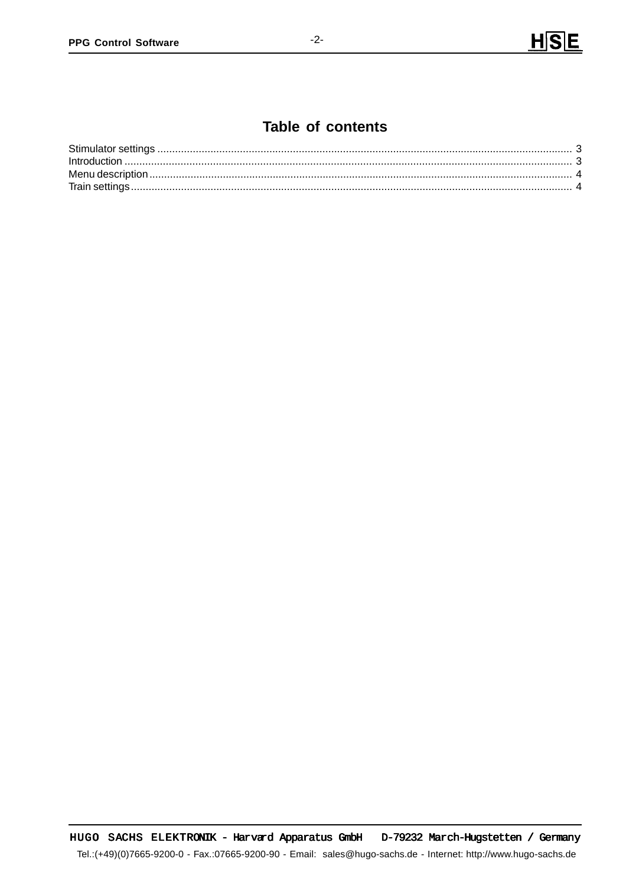## Table of contents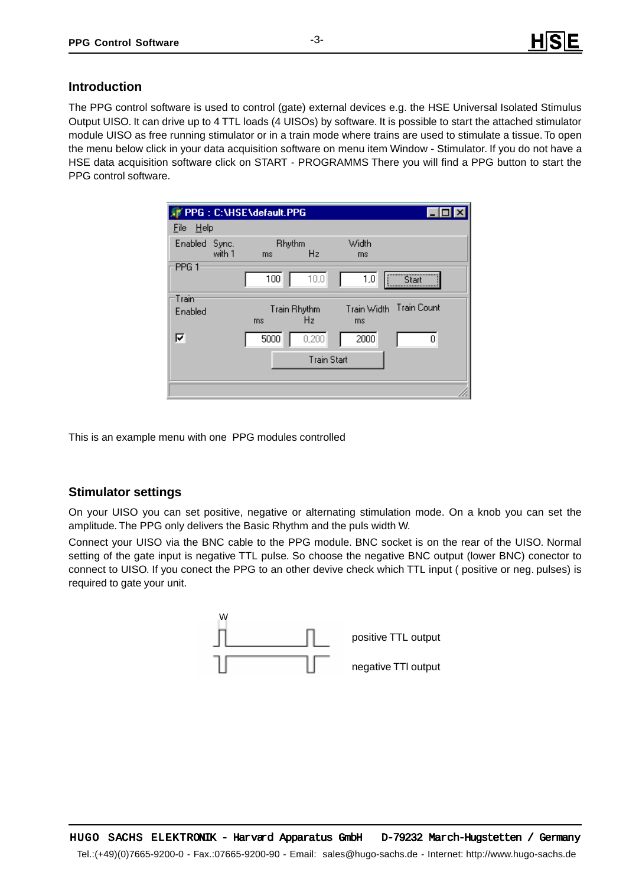### **Introduction**

The PPG control software is used to control (gate) external devices e.g. the HSE Universal Isolated Stimulus Output UISO. It can drive up to 4 TTL loads (4 UISOs) by software. It is possible to start the attached stimulator module UISO as free running stimulator or in a train mode where trains are used to stimulate a tissue. To open the menu below click in your data acquisition software on menu item Window - Stimulator. If you do not have a HSE data acquisition software click on START - PROGRAMMS There you will find a PPG button to start the PPG control software.

|                    |        | PPG: C:\HSE\default.PPG |                    |                   |                    |  |  |
|--------------------|--------|-------------------------|--------------------|-------------------|--------------------|--|--|
| He<br>File         |        |                         |                    |                   |                    |  |  |
| Enabled Sync.      | with 1 | <b>Rhythm</b><br>ms     | H <sub>z</sub>     | Width<br>ms       |                    |  |  |
| PPG <sub>1</sub>   |        | 100                     | 10,0               | 1,0               | Start              |  |  |
| Train<br>Enabled   |        | ms                      | Train Rhythm<br>Hz | Train Width<br>ms | <b>Train Count</b> |  |  |
| ঢ়                 |        | 5000                    | 0,200              | 2000              | 0                  |  |  |
| <b>Train Start</b> |        |                         |                    |                   |                    |  |  |
|                    |        |                         |                    |                   |                    |  |  |

This is an example menu with one PPG modules controlled

### **Stimulator settings**

On your UISO you can set positive, negative or alternating stimulation mode. On a knob you can set the amplitude. The PPG only delivers the Basic Rhythm and the puls width W.

Connect your UISO via the BNC cable to the PPG module. BNC socket is on the rear of the UISO. Normal Connect yousetting of the gate input is negative TTL pulse. So choose the negative BNC output (lower BNC) conector to connect to UISO. If you conect the PPG to an other devive check which TTL input ( positive or neg. pulses) is required to gate your unit.